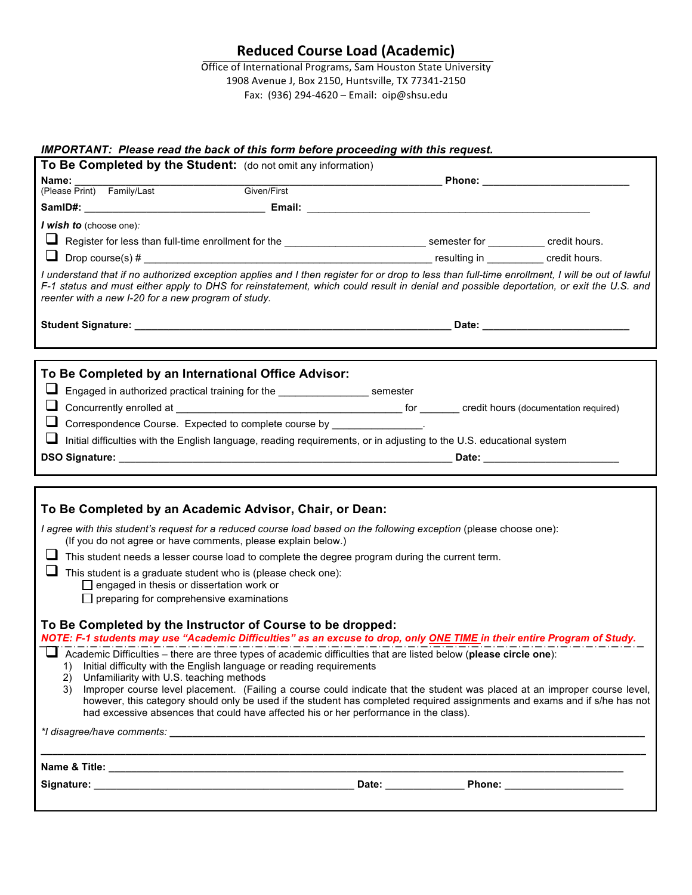# **Reduced Course Load (Academic)**

Office of International Programs, Sam Houston State University 1908 Avenue J, Box 2150, Huntsville, TX 77341-2150 Fax: (936) 294-4620 – Email: oip@shsu.edu

## *IMPORTANT: Please read the back of this form before proceeding with this request.*

| To Be Completed by the Student: (do not omit any information)                                                                                                                                                                                                                                                                                    |                                                                                                                                                                                                                                                                                                                                                   |  |  |  |
|--------------------------------------------------------------------------------------------------------------------------------------------------------------------------------------------------------------------------------------------------------------------------------------------------------------------------------------------------|---------------------------------------------------------------------------------------------------------------------------------------------------------------------------------------------------------------------------------------------------------------------------------------------------------------------------------------------------|--|--|--|
| Name:<br><b>Name:</b><br>(Please Print) Family/Last                                                                                                                                                                                                                                                                                              | Given/First                                                                                                                                                                                                                                                                                                                                       |  |  |  |
|                                                                                                                                                                                                                                                                                                                                                  |                                                                                                                                                                                                                                                                                                                                                   |  |  |  |
|                                                                                                                                                                                                                                                                                                                                                  |                                                                                                                                                                                                                                                                                                                                                   |  |  |  |
| I wish to (choose one):                                                                                                                                                                                                                                                                                                                          |                                                                                                                                                                                                                                                                                                                                                   |  |  |  |
| Register for less than full-time enrollment for the _____________________________ semester for ___________ credit hours.                                                                                                                                                                                                                         |                                                                                                                                                                                                                                                                                                                                                   |  |  |  |
| ⊔                                                                                                                                                                                                                                                                                                                                                |                                                                                                                                                                                                                                                                                                                                                   |  |  |  |
| I understand that if no authorized exception applies and I then register for or drop to less than full-time enrollment, I will be out of lawful<br>F-1 status and must either apply to DHS for reinstatement, which could result in denial and possible deportation, or exit the U.S. and<br>reenter with a new I-20 for a new program of study. |                                                                                                                                                                                                                                                                                                                                                   |  |  |  |
|                                                                                                                                                                                                                                                                                                                                                  |                                                                                                                                                                                                                                                                                                                                                   |  |  |  |
|                                                                                                                                                                                                                                                                                                                                                  |                                                                                                                                                                                                                                                                                                                                                   |  |  |  |
| To Be Completed by an International Office Advisor:                                                                                                                                                                                                                                                                                              |                                                                                                                                                                                                                                                                                                                                                   |  |  |  |
|                                                                                                                                                                                                                                                                                                                                                  | Engaged in authorized practical training for the ______________________ semester                                                                                                                                                                                                                                                                  |  |  |  |
|                                                                                                                                                                                                                                                                                                                                                  |                                                                                                                                                                                                                                                                                                                                                   |  |  |  |
| Correspondence Course. Expected to complete course by ______________.                                                                                                                                                                                                                                                                            |                                                                                                                                                                                                                                                                                                                                                   |  |  |  |
|                                                                                                                                                                                                                                                                                                                                                  | Initial difficulties with the English language, reading requirements, or in adjusting to the U.S. educational system                                                                                                                                                                                                                              |  |  |  |
|                                                                                                                                                                                                                                                                                                                                                  |                                                                                                                                                                                                                                                                                                                                                   |  |  |  |
|                                                                                                                                                                                                                                                                                                                                                  |                                                                                                                                                                                                                                                                                                                                                   |  |  |  |
|                                                                                                                                                                                                                                                                                                                                                  |                                                                                                                                                                                                                                                                                                                                                   |  |  |  |
| To Be Completed by an Academic Advisor, Chair, or Dean:                                                                                                                                                                                                                                                                                          |                                                                                                                                                                                                                                                                                                                                                   |  |  |  |
| I agree with this student's request for a reduced course load based on the following exception (please choose one):<br>(If you do not agree or have comments, please explain below.)                                                                                                                                                             |                                                                                                                                                                                                                                                                                                                                                   |  |  |  |
| This student needs a lesser course load to complete the degree program during the current term.                                                                                                                                                                                                                                                  |                                                                                                                                                                                                                                                                                                                                                   |  |  |  |
| This student is a graduate student who is (please check one):<br>$\Box$ engaged in thesis or dissertation work or                                                                                                                                                                                                                                |                                                                                                                                                                                                                                                                                                                                                   |  |  |  |
| $\Box$ preparing for comprehensive examinations                                                                                                                                                                                                                                                                                                  |                                                                                                                                                                                                                                                                                                                                                   |  |  |  |
| To Be Completed by the Instructor of Course to be dropped:<br>NOTE: F-1 students may use "Academic Difficulties" as an excuse to drop, only ONE TIME in their entire Program of Study.                                                                                                                                                           |                                                                                                                                                                                                                                                                                                                                                   |  |  |  |
| Academic Difficulties – there are three types of academic difficulties that are listed below (please circle one):<br>1)                                                                                                                                                                                                                          | Initial difficulty with the English language or reading requirements                                                                                                                                                                                                                                                                              |  |  |  |
| Unfamiliarity with U.S. teaching methods<br>(2)<br>3)                                                                                                                                                                                                                                                                                            | Improper course level placement. (Failing a course could indicate that the student was placed at an improper course level,<br>however, this category should only be used if the student has completed required assignments and exams and if s/he has not<br>had excessive absences that could have affected his or her performance in the class). |  |  |  |
|                                                                                                                                                                                                                                                                                                                                                  |                                                                                                                                                                                                                                                                                                                                                   |  |  |  |
|                                                                                                                                                                                                                                                                                                                                                  | ,我们也不能在这里,我们也不能在这里,我们也不能不能会在这里,我们也不能会不能会不能会不能会不能会不能会不能会。""我们,我们也不能会不能会不能会不能会不能会不                                                                                                                                                                                                                                                                  |  |  |  |
|                                                                                                                                                                                                                                                                                                                                                  |                                                                                                                                                                                                                                                                                                                                                   |  |  |  |
|                                                                                                                                                                                                                                                                                                                                                  |                                                                                                                                                                                                                                                                                                                                                   |  |  |  |